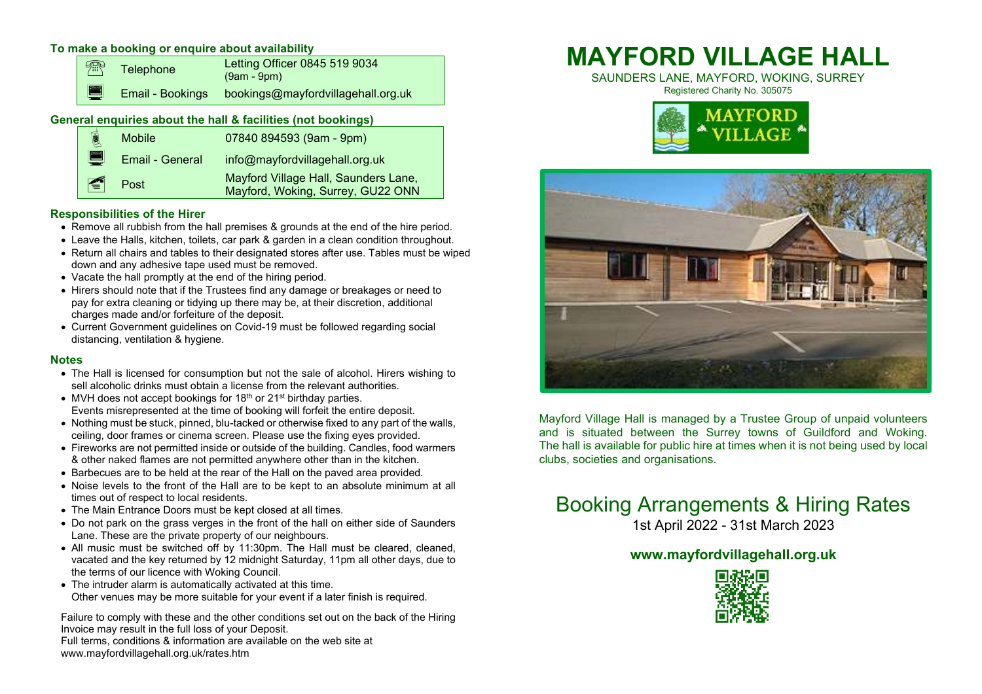# **To make a booking or enquire about availability**

|                                                              |     | <b>Telephone</b>        | Letting Officer 0845 519 9034<br>$(9am - 9pm)$ |  |  |  |  |  |  |
|--------------------------------------------------------------|-----|-------------------------|------------------------------------------------|--|--|--|--|--|--|
|                                                              | HU) | <b>Email - Bookings</b> | bookings@mayfordvillagehall.org.uk             |  |  |  |  |  |  |
| General enquiries about the hall & facilities (not bookings) |     |                         |                                                |  |  |  |  |  |  |

|   | 圓 | <b>Mobile</b>   | 07840 894593 (9am - 9pm)                                                  |  |  |  |  |
|---|---|-----------------|---------------------------------------------------------------------------|--|--|--|--|
|   | e | Email - General | info@mayfordvillagehall.org.uk                                            |  |  |  |  |
|   | E | Post            | Mayford Village Hall, Saunders Lane,<br>Mayford, Woking, Surrey, GU22 ONN |  |  |  |  |
| . |   |                 |                                                                           |  |  |  |  |

# **Responsibilities of the Hirer**

- Remove all rubbish from the hall premises & grounds at the end of the hire period.
- Leave the Halls, kitchen, toilets, car park & garden in a clean condition throughout.
- Return all chairs and tables to their designated stores after use. Tables must be wiped down and any adhesive tape used must be removed.
- Vacate the hall promptly at the end of the hiring period.
- Hirers should note that if the Trustees find any damage or breakages or need to pay for extra cleaning or tidying up there may be, at their discretion, additional charges made and/or forfeiture of the deposit.
- Current Government guidelines on Covid-19 must be followed regarding social distancing, ventilation & hygiene.

# **Notes**

- The Hall is licensed for consumption but not the sale of alcohol. Hirers wishing to sell alcoholic drinks must obtain a license from the relevant authorities.
- MVH does not accept bookings for  $18<sup>th</sup>$  or  $21<sup>st</sup>$  birthday parties. Events misrepresented at the time of booking will forfeit the entire deposit.
- Nothing must be stuck, pinned, blu-tacked or otherwise fixed to any part of the walls, ceiling, door frames or cinema screen. Please use the fixing eyes provided.
- Fireworks are not permitted inside or outside of the building. Candles, food warmers & other naked flames are not permitted anywhere other than in the kitchen.
- Barbecues are to be held at the rear of the Hall on the paved area provided.
- Noise levels to the front of the Hall are to be kept to an absolute minimum at all times out of respect to local residents.
- The Main Entrance Doors must be kept closed at all times.
- Do not park on the grass verges in the front of the hall on either side of Saunders Lane. These are the private property of our neighbours.
- All music must be switched off by 11:30pm. The Hall must be cleared, cleaned, vacated and the key returned by 12 midnight Saturday, 11pm all other days, due to the terms of our licence with Woking Council.
- The intruder alarm is automatically activated at this time. Other venues may be more suitable for your event if a later finish is required.

Failure to comply with these and the other conditions set out on the back of the Hiring Invoice may result in the full loss of your Deposit.

 Full terms, conditions & information are available on the web site at www.mayfordvillagehall.org.uk/rates.htm

# **MAYFORD VILLAGE HALL**

SAUNDERS LANE, MAYFORD, WOKING, SURREY Registered Charity No. 305075





Mayford Village Hall is managed by a Trustee Group of unpaid volunteers and is situated between the Surrey towns of Guildford and Woking. The hall is available for public hire at times when it is not being used by local clubs, societies and organisations.

# Booking Arrangements & Hiring Rates

1st April 2022 - 31st March 2023

# **www.mayfordvillagehall.org.uk**